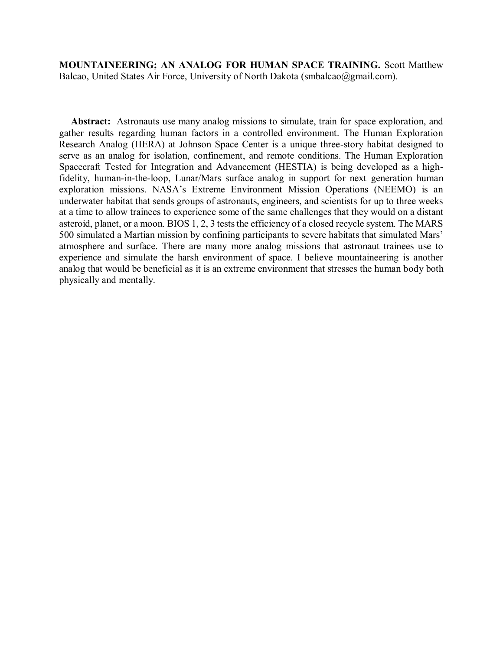**MOUNTAINEERING; AN ANALOG FOR HUMAN SPACE TRAINING.** Scott Matthew Balcao, United States Air Force, University of North Dakota (smbalcao@gmail.com).

**Abstract:** Astronauts use many analog missions to simulate, train for space exploration, and gather results regarding human factors in a controlled environment. The Human Exploration Research Analog (HERA) at Johnson Space Center is a unique three-story habitat designed to serve as an analog for isolation, confinement, and remote conditions. The Human Exploration Spacecraft Tested for Integration and Advancement (HESTIA) is being developed as a highfidelity, human-in-the-loop, Lunar/Mars surface analog in support for next generation human exploration missions. NASA's Extreme Environment Mission Operations (NEEMO) is an underwater habitat that sends groups of astronauts, engineers, and scientists for up to three weeks at a time to allow trainees to experience some of the same challenges that they would on a distant asteroid, planet, or a moon. BIOS 1, 2, 3 tests the efficiency of a closed recycle system. The MARS 500 simulated a Martian mission by confining participants to severe habitats that simulated Mars' atmosphere and surface. There are many more analog missions that astronaut trainees use to experience and simulate the harsh environment of space. I believe mountaineering is another analog that would be beneficial as it is an extreme environment that stresses the human body both physically and mentally.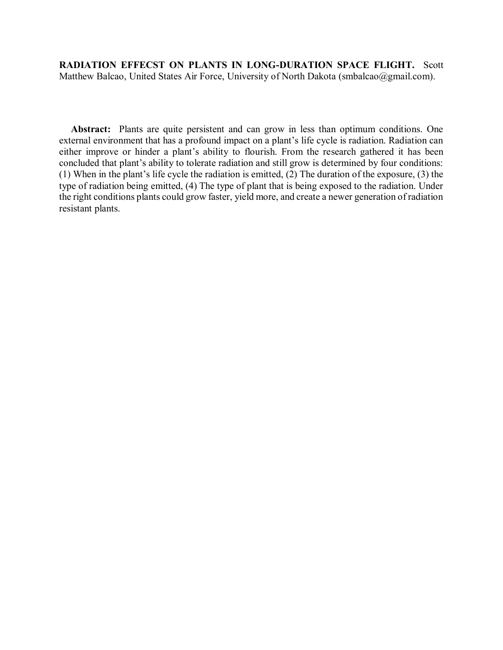**RADIATION EFFECST ON PLANTS IN LONG-DURATION SPACE FLIGHT.** Scott Matthew Balcao, United States Air Force, University of North Dakota (smbalcao@gmail.com).

**Abstract:** Plants are quite persistent and can grow in less than optimum conditions. One external environment that has a profound impact on a plant's life cycle is radiation. Radiation can either improve or hinder a plant's ability to flourish. From the research gathered it has been concluded that plant's ability to tolerate radiation and still grow is determined by four conditions: (1) When in the plant's life cycle the radiation is emitted,  $(2)$  The duration of the exposure, (3) the type of radiation being emitted, (4) The type of plant that is being exposed to the radiation. Under the right conditions plants could grow faster, yield more, and create a newer generation of radiation resistant plants.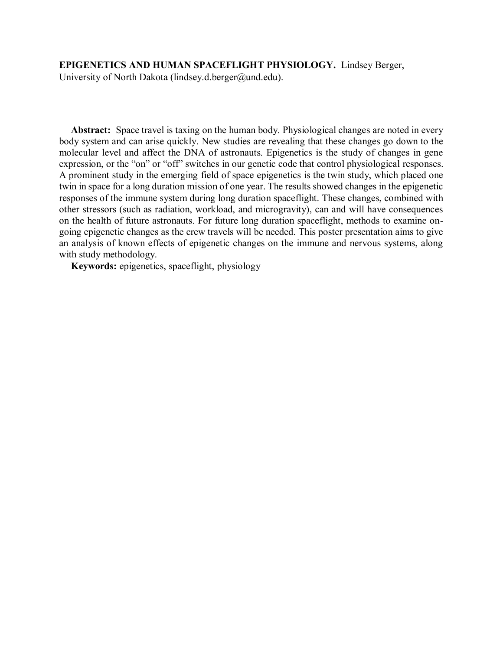# **EPIGENETICS AND HUMAN SPACEFLIGHT PHYSIOLOGY.** Lindsey Berger,

University of North Dakota (lindsey.d.berger@und.edu).

**Abstract:** Space travel is taxing on the human body. Physiological changes are noted in every body system and can arise quickly. New studies are revealing that these changes go down to the molecular level and affect the DNA of astronauts. Epigenetics is the study of changes in gene expression, or the "on" or "off" switches in our genetic code that control physiological responses. A prominent study in the emerging field of space epigenetics is the twin study, which placed one twin in space for a long duration mission of one year. The results showed changes in the epigenetic responses of the immune system during long duration spaceflight. These changes, combined with other stressors (such as radiation, workload, and microgravity), can and will have consequences on the health of future astronauts. For future long duration spaceflight, methods to examine ongoing epigenetic changes as the crew travels will be needed. This poster presentation aims to give an analysis of known effects of epigenetic changes on the immune and nervous systems, along with study methodology.

**Keywords:** epigenetics, spaceflight, physiology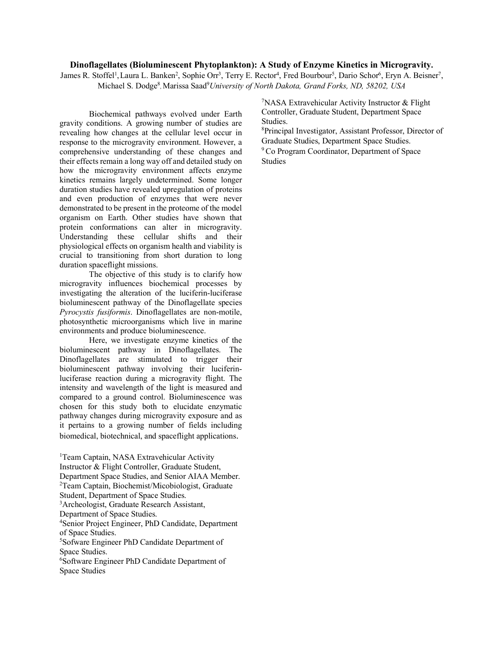# **Dinoflagellates (Bioluminescent Phytoplankton): A Study of Enzyme Kinetics in Microgravity.**

James R. Stoffel<sup>1</sup>, Laura L. Banken<sup>2</sup>, Sophie Orr<sup>3</sup>, Terry E. Rector<sup>4</sup>, Fred Bourbour<sup>5</sup>, Dario Schor<sup>6</sup>, Eryn A. Beisner<sup>7</sup>, Michael S. Dodge<sup>8</sup>, Marissa Saad<sup>9</sup>University of North Dakota, Grand Forks, ND, 58202, USA

Biochemical pathways evolved under Earth gravity conditions. A growing number of studies are revealing how changes at the cellular level occur in response to the microgravity environment. However, a comprehensive understanding of these changes and their effects remain a long way off and detailed study on how the microgravity environment affects enzyme kinetics remains largely undetermined. Some longer duration studies have revealed upregulation of proteins and even production of enzymes that were never demonstrated to be present in the proteome of the model organism on Earth. Other studies have shown that protein conformations can alter in microgravity. Understanding these cellular shifts and their physiological effects on organism health and viability is crucial to transitioning from short duration to long duration spaceflight missions.

The objective of this study is to clarify how microgravity influences biochemical processes by investigating the alteration of the luciferin-luciferase bioluminescent pathway of the Dinoflagellate species *Pyrocystis fusiformis*. Dinoflagellates are non-motile, photosynthetic microorganisms which live in marine environments and produce bioluminescence.

Here, we investigate enzyme kinetics of the bioluminescent pathway in Dinoflagellates. The Dinoflagellates are stimulated to trigger their bioluminescent pathway involving their luciferinluciferase reaction during a microgravity flight. The intensity and wavelength of the light is measured and compared to a ground control. Bioluminescence was chosen for this study both to elucidate enzymatic pathway changes during microgravity exposure and as it pertains to a growing number of fields including biomedical, biotechnical, and spaceflight applications.

<sup>1</sup>Team Captain, NASA Extravehicular Activity Instructor & Flight Controller, Graduate Student, Department Space Studies, and Senior AIAA Member. 2 Team Captain, Biochemist/Micobiologist, Graduate Student, Department of Space Studies. 3 Archeologist, Graduate Research Assistant, Department of Space Studies. 4 Senior Project Engineer, PhD Candidate, Department of Space Studies. 5 Sofware Engineer PhD Candidate Department of Space Studies. 6 Software Engineer PhD Candidate Department of Space Studies

7 NASA Extravehicular Activity Instructor & Flight Controller, Graduate Student, Department Space Studies.

8 Principal Investigator, Assistant Professor, Director of Graduate Studies, Department Space Studies.

<sup>9</sup> Co Program Coordinator, Department of Space Studies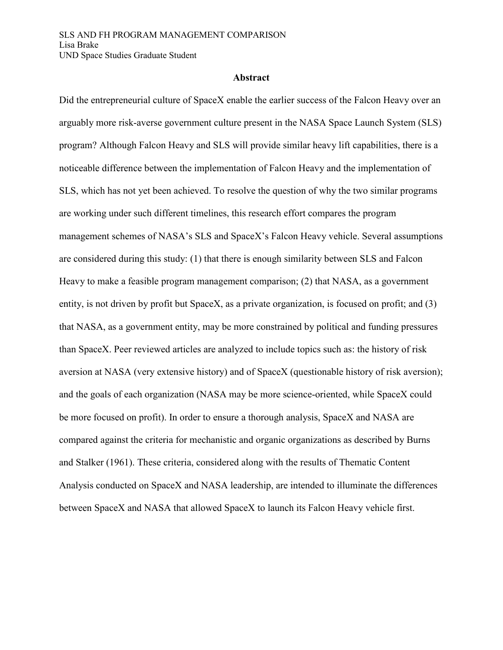# **Abstract**

Did the entrepreneurial culture of SpaceX enable the earlier success of the Falcon Heavy over an arguably more risk-averse government culture present in the NASA Space Launch System (SLS) program? Although Falcon Heavy and SLS will provide similar heavy lift capabilities, there is a noticeable difference between the implementation of Falcon Heavy and the implementation of SLS, which has not yet been achieved. To resolve the question of why the two similar programs are working under such different timelines, this research effort compares the program management schemes of NASA's SLS and SpaceX's Falcon Heavy vehicle. Several assumptions are considered during this study: (1) that there is enough similarity between SLS and Falcon Heavy to make a feasible program management comparison; (2) that NASA, as a government entity, is not driven by profit but SpaceX, as a private organization, is focused on profit; and (3) that NASA, as a government entity, may be more constrained by political and funding pressures than SpaceX. Peer reviewed articles are analyzed to include topics such as: the history of risk aversion at NASA (very extensive history) and of SpaceX (questionable history of risk aversion); and the goals of each organization (NASA may be more science-oriented, while SpaceX could be more focused on profit). In order to ensure a thorough analysis, SpaceX and NASA are compared against the criteria for mechanistic and organic organizations as described by Burns and Stalker (1961). These criteria, considered along with the results of Thematic Content Analysis conducted on SpaceX and NASA leadership, are intended to illuminate the differences between SpaceX and NASA that allowed SpaceX to launch its Falcon Heavy vehicle first.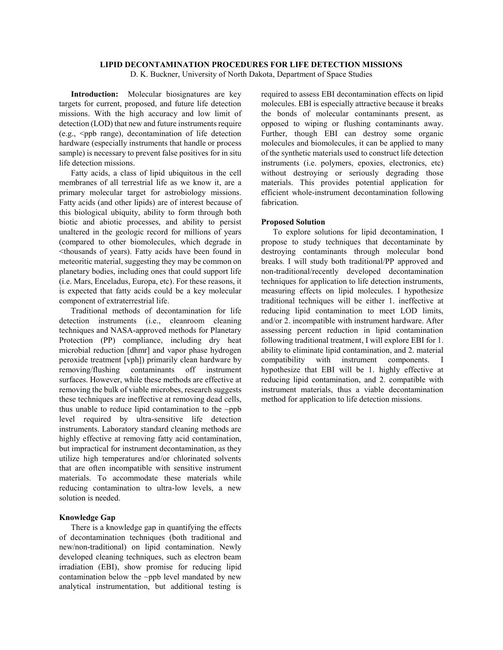## **LIPID DECONTAMINATION PROCEDURES FOR LIFE DETECTION MISSIONS**

D. K. Buckner, University of North Dakota, Department of Space Studies

**Introduction:** Molecular biosignatures are key targets for current, proposed, and future life detection missions. With the high accuracy and low limit of detection (LOD) that new and future instruments require  $(e.g., \leq ppb$  range), decontamination of life detection hardware (especially instruments that handle or process sample) is necessary to prevent false positives for in situ life detection missions.

Fatty acids, a class of lipid ubiquitous in the cell membranes of all terrestrial life as we know it, are a primary molecular target for astrobiology missions. Fatty acids (and other lipids) are of interest because of this biological ubiquity, ability to form through both biotic and abiotic processes, and ability to persist unaltered in the geologic record for millions of years (compared to other biomolecules, which degrade in <thousands of years). Fatty acids have been found in meteoritic material, suggesting they may be common on planetary bodies, including ones that could support life (i.e. Mars, Enceladus, Europa, etc). For these reasons, it is expected that fatty acids could be a key molecular component of extraterrestrial life.

Traditional methods of decontamination for life detection instruments (i.e., cleanroom cleaning techniques and NASA-approved methods for Planetary Protection (PP) compliance, including dry heat microbial reduction [dhmr] and vapor phase hydrogen peroxide treatment [vph]) primarily clean hardware by removing/flushing contaminants off instrument surfaces. However, while these methods are effective at removing the bulk of viable microbes, research suggests these techniques are ineffective at removing dead cells, thus unable to reduce lipid contamination to the  $\sim$ ppb level required by ultra-sensitive life detection instruments. Laboratory standard cleaning methods are highly effective at removing fatty acid contamination, but impractical for instrument decontamination, as they utilize high temperatures and/or chlorinated solvents that are often incompatible with sensitive instrument materials. To accommodate these materials while reducing contamination to ultra-low levels, a new solution is needed.

#### **Knowledge Gap**

There is a knowledge gap in quantifying the effects of decontamination techniques (both traditional and new/non-traditional) on lipid contamination. Newly developed cleaning techniques, such as electron beam irradiation (EBI), show promise for reducing lipid contamination below the ~ppb level mandated by new analytical instrumentation, but additional testing is

required to assess EBI decontamination effects on lipid molecules. EBI is especially attractive because it breaks the bonds of molecular contaminants present, as opposed to wiping or flushing contaminants away. Further, though EBI can destroy some organic molecules and biomolecules, it can be applied to many of the synthetic materials used to construct life detection instruments (i.e. polymers, epoxies, electronics, etc) without destroying or seriously degrading those materials. This provides potential application for efficient whole-instrument decontamination following fabrication.

## **Proposed Solution**

To explore solutions for lipid decontamination, I propose to study techniques that decontaminate by destroying contaminants through molecular bond breaks. I will study both traditional/PP approved and non-traditional/recently developed decontamination techniques for application to life detection instruments, measuring effects on lipid molecules. I hypothesize traditional techniques will be either 1. ineffective at reducing lipid contamination to meet LOD limits, and/or 2. incompatible with instrument hardware. After assessing percent reduction in lipid contamination following traditional treatment, I will explore EBI for 1. ability to eliminate lipid contamination, and 2. material compatibility with instrument components. I hypothesize that EBI will be 1. highly effective at reducing lipid contamination, and 2. compatible with instrument materials, thus a viable decontamination method for application to life detection missions.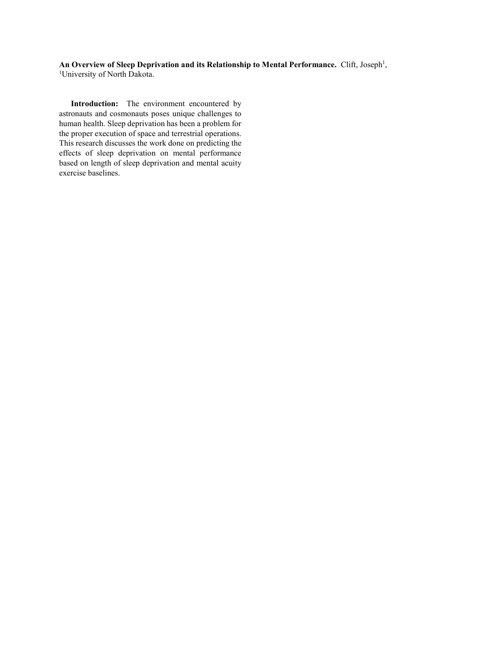An Overview of Sleep Deprivation and its Relationship to Mental Performance. Clift, Joseph<sup>1</sup>, <sup>1</sup>University of North Dakota.

**Introduction:** The environment encountered by astronauts and cosmonauts poses unique challenges to human health. Sleep deprivation has been a problem for the proper execution of space and terrestrial operations. This research discusses the work done on predicting the effects of sleep deprivation on mental performance based on length of sleep deprivation and mental acuity exercise baselines.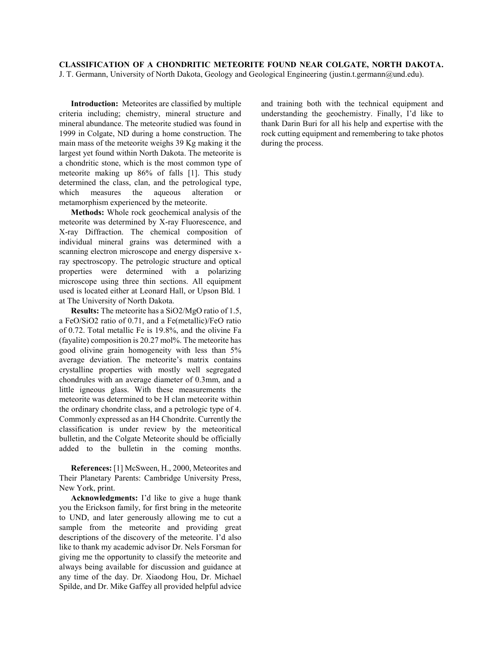**CLASSIFICATION OF A CHONDRITIC METEORITE FOUND NEAR COLGATE, NORTH DAKOTA.**  J. T. Germann, University of North Dakota, Geology and Geological Engineering (justin.t.germann@und.edu).

**Introduction:** Meteorites are classified by multiple criteria including; chemistry, mineral structure and mineral abundance. The meteorite studied was found in 1999 in Colgate, ND during a home construction. The main mass of the meteorite weighs 39 Kg making it the largest yet found within North Dakota. The meteorite is a chondritic stone, which is the most common type of meteorite making up 86% of falls [1]. This study determined the class, clan, and the petrological type, which measures the aqueous alteration or metamorphism experienced by the meteorite.

**Methods:** Whole rock geochemical analysis of the meteorite was determined by X-ray Fluorescence, and X-ray Diffraction. The chemical composition of individual mineral grains was determined with a scanning electron microscope and energy dispersive xray spectroscopy. The petrologic structure and optical properties were determined with a polarizing microscope using three thin sections. All equipment used is located either at Leonard Hall, or Upson Bld. 1 at The University of North Dakota.

**Results:** The meteorite has a SiO2/MgO ratio of 1.5, a FeO/SiO2 ratio of 0.71, and a Fe(metallic)/FeO ratio of 0.72. Total metallic Fe is 19.8%, and the olivine Fa (fayalite) composition is 20.27 mol%. The meteorite has good olivine grain homogeneity with less than 5% average deviation. The meteorite's matrix contains crystalline properties with mostly well segregated chondrules with an average diameter of 0.3mm, and a little igneous glass. With these measurements the meteorite was determined to be H clan meteorite within the ordinary chondrite class, and a petrologic type of 4. Commonly expressed as an H4 Chondrite. Currently the classification is under review by the meteoritical bulletin, and the Colgate Meteorite should be officially added to the bulletin in the coming months.

**References:** [1] McSween, H., 2000, Meteorites and Their Planetary Parents: Cambridge University Press, New York, print.

**Acknowledgments:** I'd like to give a huge thank you the Erickson family, for first bring in the meteorite to UND, and later generously allowing me to cut a sample from the meteorite and providing great descriptions of the discovery of the meteorite. I'd also like to thank my academic advisor Dr. Nels Forsman for giving me the opportunity to classify the meteorite and always being available for discussion and guidance at any time of the day. Dr. Xiaodong Hou, Dr. Michael Spilde, and Dr. Mike Gaffey all provided helpful advice

and training both with the technical equipment and understanding the geochemistry. Finally, I'd like to thank Darin Buri for all his help and expertise with the rock cutting equipment and remembering to take photos during the process.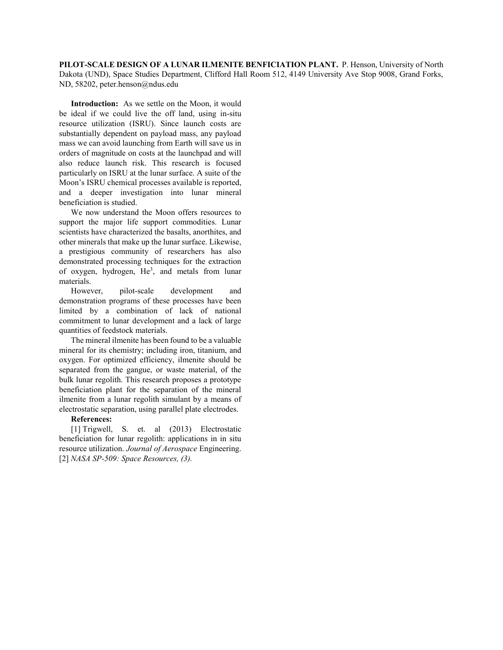**PILOT-SCALE DESIGN OF A LUNAR ILMENITE BENFICIATION PLANT.** P. Henson, University of North Dakota (UND), Space Studies Department, Clifford Hall Room 512, 4149 University Ave Stop 9008, Grand Forks, ND, 58202, peter.henson@ndus.edu

**Introduction:** As we settle on the Moon, it would be ideal if we could live the off land, using in-situ resource utilization (ISRU). Since launch costs are substantially dependent on payload mass, any payload mass we can avoid launching from Earth will save us in orders of magnitude on costs at the launchpad and will also reduce launch risk. This research is focused particularly on ISRU at the lunar surface. A suite of the Moon's ISRU chemical processes available is reported, and a deeper investigation into lunar mineral beneficiation is studied.

We now understand the Moon offers resources to support the major life support commodities. Lunar scientists have characterized the basalts, anorthites, and other minerals that make up the lunar surface. Likewise, a prestigious community of researchers has also demonstrated processing techniques for the extraction of oxygen, hydrogen,  $He<sup>3</sup>$ , and metals from lunar materials.

However, pilot-scale development and demonstration programs of these processes have been limited by a combination of lack of national commitment to lunar development and a lack of large quantities of feedstock materials.

The mineral ilmenite has been found to be a valuable mineral for its chemistry; including iron, titanium, and oxygen. For optimized efficiency, ilmenite should be separated from the gangue, or waste material, of the bulk lunar regolith. This research proposes a prototype beneficiation plant for the separation of the mineral ilmenite from a lunar regolith simulant by a means of electrostatic separation, using parallel plate electrodes.

# **References:**

[1] Trigwell, S. et. al (2013) Electrostatic beneficiation for lunar regolith: applications in in situ resource utilization. *Journal of Aerospace* Engineering. [2] *NASA SP-509: Space Resources, (3).*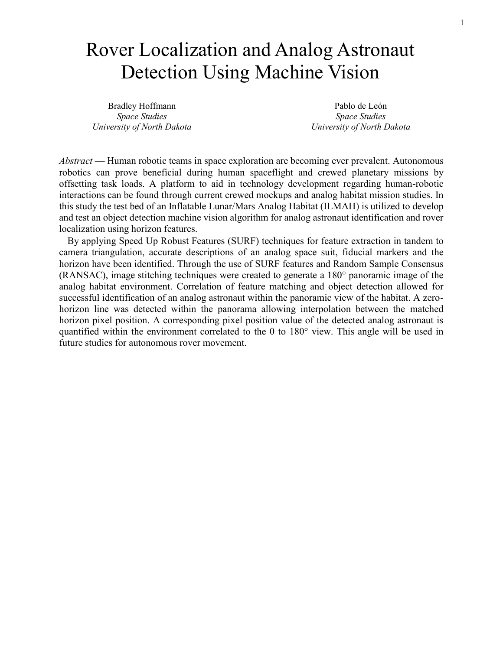# Rover Localization and Analog Astronaut Detection Using Machine Vision

Bradley Hoffmann *Space Studies University of North Dakota*

Pablo de León *Space Studies University of North Dakota*

*Abstract* — Human robotic teams in space exploration are becoming ever prevalent. Autonomous robotics can prove beneficial during human spaceflight and crewed planetary missions by offsetting task loads. A platform to aid in technology development regarding human-robotic interactions can be found through current crewed mockups and analog habitat mission studies. In this study the test bed of an Inflatable Lunar/Mars Analog Habitat (ILMAH) is utilized to develop and test an object detection machine vision algorithm for analog astronaut identification and rover localization using horizon features.

By applying Speed Up Robust Features (SURF) techniques for feature extraction in tandem to camera triangulation, accurate descriptions of an analog space suit, fiducial markers and the horizon have been identified. Through the use of SURF features and Random Sample Consensus (RANSAC), image stitching techniques were created to generate a 180° panoramic image of the analog habitat environment. Correlation of feature matching and object detection allowed for successful identification of an analog astronaut within the panoramic view of the habitat. A zerohorizon line was detected within the panorama allowing interpolation between the matched horizon pixel position. A corresponding pixel position value of the detected analog astronaut is quantified within the environment correlated to the 0 to 180° view. This angle will be used in future studies for autonomous rover movement.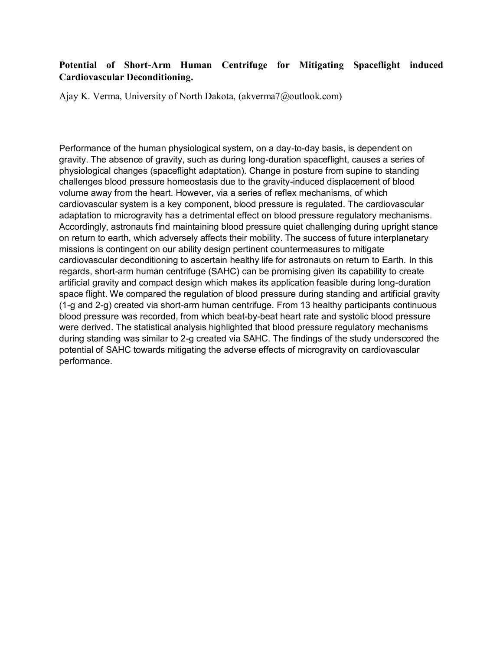# **Potential of Short-Arm Human Centrifuge for Mitigating Spaceflight induced Cardiovascular Deconditioning.**

Ajay K. Verma, University of North Dakota, (akverma7@outlook.com)

Performance of the human physiological system, on a day-to-day basis, is dependent on gravity. The absence of gravity, such as during long-duration spaceflight, causes a series of physiological changes (spaceflight adaptation). Change in posture from supine to standing challenges blood pressure homeostasis due to the gravity-induced displacement of blood volume away from the heart. However, via a series of reflex mechanisms, of which cardiovascular system is a key component, blood pressure is regulated. The cardiovascular adaptation to microgravity has a detrimental effect on blood pressure regulatory mechanisms. Accordingly, astronauts find maintaining blood pressure quiet challenging during upright stance on return to earth, which adversely affects their mobility. The success of future interplanetary missions is contingent on our ability design pertinent countermeasures to mitigate cardiovascular deconditioning to ascertain healthy life for astronauts on return to Earth. In this regards, short-arm human centrifuge (SAHC) can be promising given its capability to create artificial gravity and compact design which makes its application feasible during long-duration space flight. We compared the regulation of blood pressure during standing and artificial gravity (1-g and 2-g) created via short-arm human centrifuge. From 13 healthy participants continuous blood pressure was recorded, from which beat-by-beat heart rate and systolic blood pressure were derived. The statistical analysis highlighted that blood pressure regulatory mechanisms during standing was similar to 2-g created via SAHC. The findings of the study underscored the potential of SAHC towards mitigating the adverse effects of microgravity on cardiovascular performance.